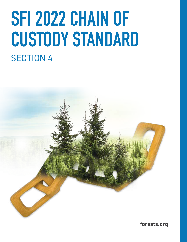# **SFI 2022 CHAIN OF CUSTODY STANDARD SECTION 4**



**forests.org**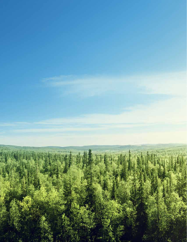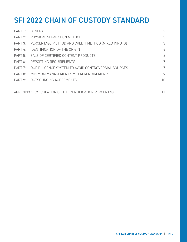## SFI 2022 CHAIN OF CUSTODY STANDARD

| PART 1: | GENERAL                                                 | $\overline{2}$ |
|---------|---------------------------------------------------------|----------------|
|         | PART 2: PHYSICAL SEPARATION METHOD                      | 3              |
| PART 3: | PERCENTAGE METHOD AND CREDIT METHOD (MIXED INPUTS)      | 3              |
| PART 4: | IDENTIFICATION OF THE ORIGIN                            | 6              |
| PART 5: | SALE OF CERTIFIED CONTENT PRODUCTS                      | 6              |
| PART 6: | REPORTING REQUIREMENTS                                  | 7              |
| PART 7: | DUE DILIGENCE SYSTEM TO AVOID CONTROVERSIAL SOURCES     | 7              |
| PART 8: | MINIMUM MANAGEMENT SYSTEM REQUIREMENTS                  | 9              |
|         | PART 9: OUTSOURCING AGREEMENTS                          | 10             |
|         |                                                         |                |
|         | APPENDIX 1: CALCULATION OF THE CERTIFICATION PERCENTAGE | 11             |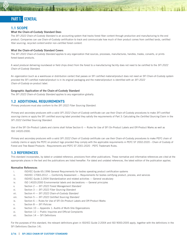#### **1.1 SCOPE**

#### What the Chain-of-Custody Standard Does

The *SFI 2022 Chain-of-Custody Standard* is an accounting system that tracks forest fiber content through production and manufacturing to the end product. Companies can use Chain-of-Custody certification to track and communicate how much of their product comes from certified lands, certified fiber sourcing, *recycled content* and/or non-certified forest content.

when you begin the the state of the state

#### What the Chain-of-Custody Standard Covers

The *SFI 2022 Chain-of-Custody Standard* applies to any organization that sources, processes, manufactures, handles, trades, converts, or prints forest-based products.

A *wood producer* delivering roundwood or field chips direct from the forest to a manufacturing facility does not need to be certified to the *SFI 2022 Chain-of-Custody Standard.* 

An organization (such as a warehouse or distribution center) that passes on SFI certified material/product does not need an SFI Chain-of-Custody system provided the SFI certified material/product is in its original packaging and the material/product is identified with an *SFI 2022 Chain-of-Custody* on-product label.

#### Geographic Application of the Chain-of-Custody Standard

The *SFI 2022 Chain-of-Custody Standard* applies to any organization globally.

#### **1.2 ADDITIONAL REQUIREMENTS**

*Primary producers* must also conform to the *SFI 2022 Fiber Sourcing Standard.*

*Primary* and *secondary* producers with a valid *SFI 2022 Chain-of-Custody* certificate can use their Chain-of-Custody procedures to make SFI-certified sourcing claims or apply the SFI certified sourcing label provided they satisfy the requirements of Part 3: Calculating the Certified Sourcing Claim in the SFI 2022 Certified Sourcing Standard.

Use of the SFI On-Product Labels and claims shall follow Section 6 — Rules for Use of SFI On-Product Labels and Off-Product Marks as well as ISO 14020:2000.

*Primary* and *secondary* producers with a valid *SFI 2022 Chain of Custody* certificate can use their Chain-of-Custody procedures to make PEFC chain of custody claims or apply the PEFC on-product logo provided they comply with the applicable requirements in PEFC ST 2002:2020 – Chain of Custody of Forest and Tree Based Products - Requirements and PEFC ST 2001:2020 - PEFC Trademark Rules.

#### **1.3 REFERENCES**

This standard incorporates, by dated or undated reference, provisions from other publications. These normative and informative references are cited at the appropriate places in the text and the publications are listed hereafter. For dated and undated references, the latest edition of the publication applies.

#### Normative References

- i. ISO/IEC Guide 65:1996 General Requirements for bodies operating product certification systems
- ii. ISO/IEC 17065:2012 Conformity Assessment Requirements for bodies certifying product, process, and services
- iii. ISO/IEC Guide 2:2004 Standardization and related activities General vocabulary
- iv. ISO 14020:2000 Environmental labels and declarations General principles
- v. Section 2 *SFI 2022 Forest Management Standard*
- vi. Section 3 *SFI 2022 Fiber Sourcing Standard*
- vii. Section 4 *SFI 2022 Chain-of-Custody Standard*
- viii. Section 5 SFI 2022 Certified Sourcing Standard
- ix. Section 6 Rules for Use of SFI-On-Product Labels and Off-Product Marks
- x. Section 8 *SFI Policies*
- xi. Section 10 Appendix 1: Audits of Multi-Site Organizations
- xi. Section 12 Public Inquiries and Official Complaints
- xii. Section 14 SFI Definitions

For the purposes of this standard, the relevant definitions given in ISO/IEC Guide 2:2004 and ISO 9000:2005 apply, together with the definitions in the SFI Definitions (Section 14).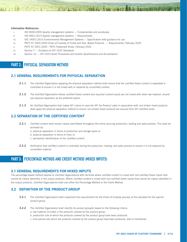#### Informative References

41 四 接近者

- i. ISO 9000:2005 Quality management systems Fundamentals and vocabulary
- ii. ISO 9001:2015 Quality management systems Requirements
- iii. ISO 14001:2015 Environmental Management Systems Specification with guidance for use
- iv. PEFC ST 2002:2020 Chain-of-Custody of Forest and Tree -Based Products Requirements, February 2020

in the state in the main the case where

- v. PEFC ST 2001:2020 PEFC Trademark Rules, February 2020
- vi. Section 7 Guidance to SFI 2022 Standards
- vii. Section 10 SFI 2022 Audit Procedures and Auditor Qualifications and Accreditation

### **PART 2: PHYSICAL SEPARATION METHOD**

#### **2.1 GENERAL REQUIREMENTS FOR PHYSICAL SEPARATION**

- 2.1.1 The Certified Organization applying the physical separation method shall ensure that the certified forest content is separated or controlled to ensure it is not mixed with or replaced by uncertified content.
- 2.1.2 The Certified Organization whose certified forest content and *recycled content* inputs are not mixed with other raw material, should use physical separation as the preferred option.
- 2.1.3 An Certified Organization that makes SFI claims or uses the SFI On-Product Label in association with *non-timber forest products* shall apply the physical separation method to ensure *non-timber forest products* are sourced from SFI certified lands.

#### **2.2 SEPARATION OF THE** *CERTIFIED CONTENT*

- 2.2.1 Certified content shall remain clearly identifiable throughout the entire sourcing production, trading and sales process. This shall be achieved by:
	- a. physical separation in terms of production and storage space or
	- b. physical separation in terms of time; or
	- c. permanent identification of the certified content.
- 2.2.2 Verification that *certified content* is controlled during the production, trading, and sales process to ensure it is not replaced by uncertified material.

## **PART 3: PERCENTAGE METHOD AND CREDIT METHOD (MIXED INPUTS)**

#### **3.1 GENERAL REQUIREMENTS FOR MIXED INPUTS**

The percentage-based method applies to Certified Organizations with facilities where certified content is mixed with non-certified forest inputs that cannot be clearly identified in the output products. Where certified *content* is mixed with non-certified forest inputs that cannot be clearly identified in the output products, Certified Organizations shall use either the Percentage Method or the Credit Method.

#### **3.2 DEFINITION OF THE** *PRODUCT GROUP*

- **3.2.1** The *Certified Organization* shall implement the requirements for the Chain-of-Custody process of this standard for the specific *product group.*
- 3.2.2 The Certified Organization shall identify its *product group*(s) based on the following criteria:
	- a. raw material included in the products covered by the *product group*;
	- b. production site at which the products covered by the *product group* have been produced;
	- c. time period over which the products covered by the *product group* have been produced, sold or transferred.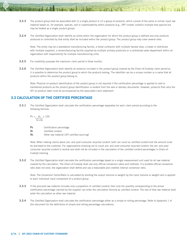- **3.2.3** The *product group* shall be associated with (i) a single product or (ii) a group of products, which consist of the same or similar input raw material based on, for example, species, sort or substitutability within products (e.g., SPF lumber contains multiple tree species but may be treated as a single *product group*).
- 3.2.4 The Certified Organization shall identify an entity within the organization for which the *product group* is defined and only products produced or controlled by that entity shall be included within the *product group*. The *product group* may cover several sites.

Note: The entity may be a standalone manufacturing facility, a forest contractor with multiple harvest sites, a trader or distributor with multiple suppliers, a remanufacturing facility supplied by multiple *primary producers* or a centralized sales department within an organization with responsibility for multiple manufacturing units.

- 3.2.5 For credibility purposes the maximum *claim period* is three months.
- 3.2.6 The Certified Organization shall identify all products included in the *product group* covered by the Chain-of-Custody *claim period* so it is possible to determine the *product group* to which the products belong. The identifier can be a unique number or a name that all products within the *product group* belong to.

Note: Physical on-product identification of the *product group* is not required if the certification percentage is applied to sold or transferred products as the *product group* identification is evident from the sale or delivery documents. However, products that carry the SFI on-product label must be accompanied by the associated claim statement.

#### **3.3 CALCULATION OF THE CERTIFIED PERCENTAGE**

3.3.1 The Certified Organization shall calculate the certification percentage separately for each *claim period* according to the following formula:

 $Pc = Vc \times 100$ Vc+Vo

- Pc Certification percentage
- Vc Certified content
- Vo Other raw material (SFI certified sourcing)

Note: When making claims about *pre-* and *post-consumer recycled content*, both can count as certified content and the amount must be disclosed to the customer. For organizations choosing not to count *pre-* and *post-consumer recycled content*, the *pre-* and *postconsumer recycled content* is neutral and shall not be included in the calculation of the certified content percentages in Chain-of-Custody tracking.

**3.3.2** The Certified Organization shall calculate the certification percentage based on a single measurement unit used for all raw material covered by the calculation. The Chain-of-Custody shall use only official conversion ratios and methods. If a suitable official conversion ratio does not exist, the organization shall define and use a reasonable and credible internal conversion ratio.

Note: The Conversion Factor/Ratio is calculated by dividing the output (volume or weight) by the input (volume or weight) and is applied to each individual input component of a *product group.*

- 3.3.3 If the procured raw material includes only a proportion of *certified content*, then only the quantity corresponding to the actual certification percentage claimed by the supplier can enter the calculation formula as certified content. The rest of that raw material shall enter the calculation as other raw material.
- **3.3.4** The Certified Organization shall calculate the certification percentage either as a simple or rolling percentage. Refer to Appendix 1 of this document for the definitions of simple and rolling percentage calculations.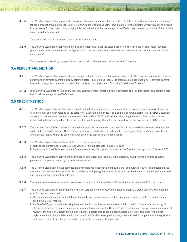**3.3.5** The *Certified Organization* applying the simple certification percentage shall base the calculation of Pc (the certification percentage) for each *product group* on the figures for Vc (certified content) and Vo (other raw material) for that specific *product group*. As a result, it is necessary for the organization applying this method to know the percentage of certified content before any product of the *product group* is sold or transferred.

The *claim period* shall not exceed three months of production.

3.3.6 The Certified Organization applying the rolling percentage shall base the calculation of Pc (the certification percentage) for each *product group* and *claim period* on the figures for Vc (certified content) and Vo (other raw material) for a specified number of prior *claim period*.

The time period covered by the specified number of prior *claim periods* shall not exceed 12 months.

#### **3.4 PERCENTAGE METHOD**

- 3.4.1 The Certified Organization applying the percentage method can claim all the products covered by the *claim period,* provided that the percentage of certified content is clearly communicated. To use the SFI label, the organization must meet a 70% certified content threshold. If *recycled content* is not used, then the label must just state, "Promoting Sustainable Forestry."
- 3.4.2 If an Certified Organization falls below the 70% certified content threshold, the organization shall be transparent and communicate the actual percentage of certified content.

#### **3.5 CREDIT METHOD**

- 3.5.1 The Certified Organization shall apply the credit method for a single claim. The organization receiving a single delivery of material with more than one claim relating to the category of *origin* shall either use it as a single inseparable claim (e.g., *SFI*/PEFC certified *content*) or shall only use one from the received claims (*SFI* or PEFC certified) for calculating the credits. The credits shall be distributed to the output products from the credit account in a way that all products sold as certified are sold as 100% certified.
- 3.5.2 The Certified Organization shall recognize credits in a single measurement unit used for all raw material inputs and shall enter the credits into the credit account. The credit account may be established for individual product types of the *product group* or for the whole *product group* where the same measurement unit is applied to all product types.
- **3.5.3** The *Certified Organization* shall calculate the credits using either: a. certification percentage (clause 3.3) and volume of output products (clause 3.5.4) or b. input material (certified forest content / pre-consumer recycled / post-consumer recycled) and input/output ratio (clause 3.5.5).
- 3.5.4 The Certified Organization applying the certification percentage shall calculate the credits by multiplying the volume of output products of the *product group* by the certified percentage.
- **3.5.5** The Certified Organization must demonstrate a verifiable ratio between the input material and output products. The credits may be calculated directly from the input certified material by multiplying the volume of the input certified material by the input/output ratio and accounting for manufacturing losses.
- 3.5.6 The labels used for the credit method are shown in Section 6. Rules for Use of SFI On-Product Labels and Off-Product Marks.
- 3.5.7 The Certified Organization can accumulate the *SFI* certified credits or recycled credits by creating a credit account, which can be used for the next *claim period.*
	- a. The total quantity of credits cumulated at the credit account cannot exceed the sum of credits entered into the credit account during the last 24 months.
	- b. An Certified Organization that is using the credit method but has yet to complete its initial certification can start counting all eligible credit after the completion of a successful internal audit of the Chain-of-Custody system and completion of a management review of the Chain-of-Custody system performance. Eligible credits can be accumulated up to 365 days prior to the initial registration audit. Accumulated credits can be utilized for the sale of products only after successful completion of the registration audit and receipt of the Chain-of-Custody certificate from their certification body.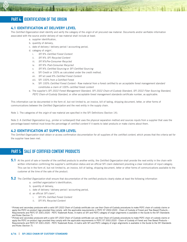## **PART 4: IDENTIFICATION OF THE ORIGIN**

#### **4.1 IDENTIFICATION AT DELIVERY LEVEL**

The Certified Organization shall identify and verify the category of the *origin* of all procured raw material. Documents and/or verifiable information associated with the source and/or delivery of raw material shall include at least:

- a. supplier identification,
	- b. quantity of delivery,
	- c. date of delivery / delivery period / accounting period,
	- d. category of *origin*1,
		- i. *SFI* X% Certified Forest Content
		- ii. *SFI* X% *SFI Recycled Content*
		- iii. *SFI* X%*Pre-Consumer Recycled*
		- iv. *SFI* X% *Post-Consumer Recycled*
		- v. *SFI* X% Certified Sourcing or SFI Certified Sourcing
		- vi. SFI Credit or 100% as calculated under the credit method.
		- vii. *SFI* at Least X% Certified Forest Content
		- viii. SFI 100% from a Certified Forest
		- ix. SFI 100% Certified Forest Content Raw material from a forest certified to an *acceptable forest management standard*  constitutes a claim of 100% certified forest content
	- e. The supplier's *SFI 2022 Forest Management Standard*, *SFI 2022 Chain-of-Custody Standard, SFI 2022 Fiber Sourcing Standard, PEFC Chain-of-Custody Standard,* or *other acceptable forest management standards* certificate number, as applicable.

This information can be documented in the form of, but not limited to, an invoice, bill of lading, shipping document, letter, or other forms of communications between the Certified Organization and the next entity in the supply chain.

Note 1: The categories of the *origin* of raw material are specified in the SFI Definitions (Section 14).

Note 2: A Certified Organization (e.g., printer or lumberyard) that uses the physical separation method and sources inputs from a supplier that uses the percentage-based method must know the percentage of certified content if it wants to label products or make claims about them.

#### **4.2 IDENTIFICATION AT SUPPLIER LEVEL**

The Certified Organization shall obtain or access confirmation documentation for all suppliers of the certified content, which proves that the criteria set for the supplier have been met.

## **PART 5: SALE OF CERTIFIED CONTENT PRODUCTS**

- **5.1** At the point of sale or transfer of the certified products to another entity, the *Certified Organization* shall provide the next entity in the chain with written information confirming the supplier's certification status and an official SFI claim statement providing a clear indication of input category. This can be in the form of, but not limited to, an invoice, bill of lading, shipping document, letter or other forms of communications available to the customer at the time of the sale of the product.
- **5.2** The Certified Organization shall ensure that documentation of the certified products clearly states at least the following information
	- a. certified organization's identification,
	- b. quantity of delivery,
	- c. date of delivery / delivery period / accounting period,
	- d. an official *SFI* claim2,
		- i. *SFI* X% Certified Forest Content
		- ii. *SFI* X% *Recycled Content*
- <sup>1</sup>*Primary* and *secondary producers* with a valid *SFI 2022 Chain of Custody* certificate can use their Chain-of-Custody procedures to make PEFC chain of custody claims or apply the PEFC on-product logo provided they comply with the applicable requirements in PEFC ST 2002:2020 - Chain of Custody of Forest and Tree Based Products – Requirements and PEFC ST 2001:2020 - PEFC Trademark Rules. A matrix on SFI and PEFC category of origin alignments is available in the Guide to the SFI Standards and Rules (Section 7).
- <sup>2</sup>*Primary* and *secondary producers* with a valid *SFI 2022 Chain of Custody* certificate can use their Chain-of-Custody procedures to make PEFC chain of custody claims or apply the PEFC on-product logo provided they comply with the applicable requirements in PEFC ST 2002:2020 - Chain of Custody of Forest and Tree Based Products – Requirements and PEFC ST 2001:2020 - PEFC Trademark Rules. A matrix with SFI and PEFC category of origin alignments is available in the Guide to the SFI Standards and Rules (Section 7).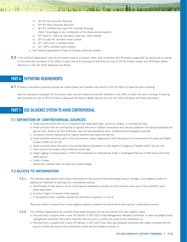- iii. SFI X% *Pre-Consumer Recycled*
- iv. SFI X% *Post-Consumer Recycled*
- v. SFI X% Certified Sourcing or SFI Certified Sourcing (Note: Percentages of any combination of the above are permissible.)
- vi. SFI Credit or 100% as calculated under the credit method.
- vii. SFI at Least X% Certified Forest Content
- viii. SFI 100% from a Certified Forest
- ix. SFI 100% Certified Forest Content
- e. the Certified Organization's Chain-of-Custody certificate number.
- 5.3 If the Certified Organization uses the off-product mark or on-product label, both on-product and off-product usage shall be carried out according to the terms and conditions of the Office of Label Use and Licensing and the Rules For Use of *SFI* On-Product Labels and Off-Product Marks (Section 6 in the *SFI 2022 Standards and Rules*).

## **PART 6: REPORTING REQUIREMENTS**

**6.1** *Primary* or *secondary producers* outside the United States and Canada must submit to the SFI Office of Label Use and Licensing:

Specific examples of proposed *SFI* on-product label use and related promotional literature to the Office of Label Use and Licensing, in keeping with the Rules for Use of *SFI* On-Product Labels and Off-Product Marks (Section 6 in the *SFI 2022 Standards and Rules document*).

## **PART 7: DUE DILIGENCE SYSTEM TO AVOID CONTROVERSIAL**

#### **7.1 DEFINITION OF** *CONTROVERSIAL SOURCES*

- a. Forest activities which are not in compliance with applicable state, provincial, federal, or international laws.
- b. Forest activities that are contributing to regional declines in *habitat conservation* and species *protection* (including *biodiversity* and *special sites, Alliance for Zero Extinction sites* and key biodiversity areas, *threatened and endangered species*).
- c. *Conversion sources* originating from regions experiencing forest area decline.
- d. Forest activities where the spirit of the International Labour Organization (ILO) Declaration on Fundamental Principles and Rights at work (1998) are not met.
- e. Forest activities where the spirit of the United Nations Declaration on the Rights of *Indigenous Peoples* (2007) are not met.
- f. *Fiber sourced from areas without effective social laws*
- g. Illegal Logging including trade in CITES (The Convention on International Trade in Endangered Species of Wild Fauna and Flora) listed species.
- h. Conflict Timber
- i. Genetically modified trees via *forest tree biotechnology*

#### **7.2 ACCESS TO INFORMATION**

- 7.2.1 The Certified Organization shall collect information on the source of the forest-based product, through a due diligence system to address the likelihood of sourcing from *controversial sources*.
	- a. Identification of tree species, or list of tree species potentially included, by their common name and or their scientific name where applicable.
	- b. Country or region of harvest of the material.
	- c. If requested by their customer, provide the information required in a. and b.

*Recycled content* is exempt from a due diligence system to address the likelihood of sourcing from *controversial sources*.

- 7.2.2 The Certified Organization can consider forest based products low risk and exempt from due diligence when:
	- a. Procured from a supplier with a valid *SFI* Section 2 (*SFI 2022 Forest Management Standard*) certificate, or other *acceptable forest management standards*, that clearly indicates that the source is within the scope of the certification; or
	- b. Procured from a supplier with a valid *SFI* Section 3 (*SFI 2022 Fiber Sourcing Standard*) certificate that clearly indicates that the source is within the scope of the certification and/or the due diligence system; or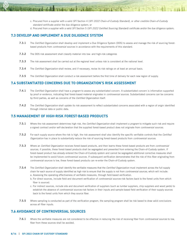- c. Procured from a supplier with a valid *SFI* Section 4 (*SFI 2022 Chain-of-Custody Standard*), or *other credible Chain-of-Custody standard* certificate and/or the due diligence system; or
- d. Procured from a supplier with a valid *SFI* Section 5 (SFI 2022 Certified Sourcing Standard) certificate and/or the due diligence system;

#### **7.3 DEVELOP AND IMPLEMENT A DUE DILIGENCE SYSTEM**

- 7.3.1 The Certified Organization shall develop and implement a Due Diligence System (DDS) to assess and manage the risk of sourcing forestbased products from *controversial sources* in accordance with the requirements of this standard.
- 7.3.2 The DDS risk assessment shall classify material into low- and high-risk categories
- 7.3.3 The risk assessment shall be carried out at the regional level unless risk is consistent at the national level.
- 7.3.4 The Certified Organization shall review, and if necessary, revise its risk ratings on at least an annual basis.
- 7.3.5 The Certified Organization shall conduct a risk assessment before the first time of delivery for each new region of supply.

#### **7.4 SUBSTANTIATED CONCERNS DUE TO ORGANIZATION'S RISK ASSESSMENT**

- 7.4.1 The Certified Organization shall have a *program* to assess any substantiated concern. A substantiated concern is information supported by proof or evidence, indicating that forest-based material originates in *controversial sources.* Substantiated concerns can be concerns by third parties, as well as concerns of the Certified Organization itself.
- 7.4.2 The Certified Organization shall update its risk assessment to reflect substantiated concerns associated with a region of origin identified through internal data or public data.

#### **7.5 MANAGEMENT OF HIGH-RISK FOREST-BASED PRODUCTS**

- 7.5.1 Where the risk assessment determines high risk, the Certified Organization shall implement a *program* to mitigate such risk and require a signed contract and/or self-declaration that the supplied forest-based product does not originate from *controversial sources.*
- 7.5.2 For each supply source where the risk is high, the risk assessment shall also identify the specific verifiable controls that the Certified Organization has in place to substantially reduce the risk of sourcing forest-based products from *controversial sources.*
- 7.5.3 Where an Certified Organization receives forest-based products, and then learns these forest-based products are from *controversial sources*, if possible, these forest-based products shall be segregated and prevented from entering the Chain-of-Custody system. If forest-based product has already entered the Chain-of-Custody system and cannot be segregated additional corrective measures shall be implemented to avoid future *controversial sources.* If subsequent verification demonstrates that the risk of this fiber originating from *controversial sources* is low, these forest-based products can re-enter the Chain-of-Custody system.
- 7.5.4 The Certified Organization shall identify the verifiable measures that the Certified Organization must implement across the full supply chain for each source of supply identified as high risk to ensure that the supply is not from *controversial sources,* which will include: a. Assessing the operating effectiveness of verifiable measures, through field-based verification.
	- b. For direct sources, include field and document verification of *controversial sources* risk factors back to the forest units from which fiber is sourced.
	- c. For indirect sources, include site and document verification of suppliers (such as lumber suppliers, chip suppliers and wood yards) to establish the absence of *controversial sources* risk factors in their inputs and sample-based field verification of their supply sources back to the forest units from which they source fiber.
- 7.5.5 Where sampling is conducted as part of the verification program, the sampling program shall be risk based to draw valid conclusions across all fiber inputs.

#### **7.6 AVOIDANCE OF CONTROVERSIAL SOURCES**

7.6.1 Where the verifiable measures are not considered to be effective in reducing the risk of receiving fiber from *controversial sources* to low, fiber from these sources shall be avoided.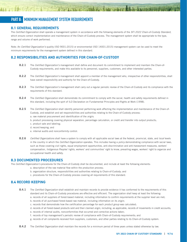## **PART 8: MINIMUM MANAGEMENT SYSTEM REQUIREMENTS**

#### **8.1 GENERAL REQUIREMENTS**

The Certified Organization shall operate a management system in accordance with the following elements of the *SFI 2022 Chain-of-Custody Standard*, which ensure correct implementation and maintenance of the Chain-of-Custody process. The management system shall be appropriate to the type, range and volume of work performed.

Note: An Certified Organization's quality (ISO 9001:2015) or environmental (ISO 14001:2015) management system can be used to meet the minimum requirements for the management system defined in this standard.

#### **8.2 RESPONSIBILITIES AND AUTHORITIES FOR CHAIN-OF-CUSTODY**

- 8.2.1 The Certified Organization's management shall define and document its commitment to implement and maintain the Chain-of-Custody requirements, and make this available to its personnel, suppliers, customers, and other interested parties.
- 8.2.2 The Certified Organization's management shall appoint a member of the management who, irrespective of other responsibilities, shall have overall responsibility and authority for the Chain-of-Custody.
- 8.2.3 The Certified Organization's management shall carry out a regular periodic review of the Chain-of-Custody and its compliance with the requirements of this standard.
- 8.2.4 The Certified Organization shall demonstrate its commitment to comply with the social, health and safety requirements defined in this standard, including the spirt of ILO Declaration on Fundamental Principles and Rights at Work (1998).
- 8.2.5 The Certified Organization shall identify personnel performing work affecting the implementation and maintenance of the Chain-of-Custody, and establish and set responsibilities and authorities relating to the Chain-of-Custody process:
	- a. raw material procurement and identification of the *origin*;
	- b. product processing covering physical separation, percentage calculation, or credit and transfer into output products;
	- c. product sale and labeling;
	- d. record keeping; and
	- e. internal audits and nonconformity control.
- 8.2.6 Certified Organizations shall have a system to comply with all applicable social laws at the federal, provincial, state, and *local* levels in the country in which the Certified Organization operates. This includes having a *policy* demonstrating compliance with social laws, such as those covering civil rights, equal employment opportunities, anti-discrimination and anti-harassment measures, workers' compensation, Indigenous Peoples' rights, workers' and communities' right to know, prevailing wages, workers' right to organize and occupational health and safety.

#### **8.3 DOCUMENTED PROCEDURES**

The Certified Organization's procedures for the Chain-of-Custody shall be documented, and include at least the following elements:

- a. description of the raw material flow within the production process;
- b. organization structure, responsibilities and authorities relating to Chain-of-Custody; and
- c. procedures for the Chain-of-Custody process covering all requirements of this standard.

#### **8.4 RECORD KEEPING**

- 8.4.1 The Certified Organization shall establish and maintain records to provide evidence it has conformed to the requirements of this standard and its Chain-of-Custody procedures are effective and efficient. The organization shall keep at least the following:
	- a. records of all suppliers of forest-based material, including information to confirm requirements at the supplier level are met;
	- b. records of all purchased forest-based raw material, including information on its *origin*;
	- c. records that demonstrate how the certification percentage for each *product group* was calculated;
	- d. records of all forest-based products sold and their claimed *origin*, including, as applicable, records of movements in credit accounts;
	- e. records of internal audits, nonconformities that occurred and corrective actions taken;
	- f. records of top management's periodic review of compliance with Chain-of-Custody requirements; and
	- g. records of all complaints received from suppliers, customers, and other parties relating to its Chain-of-Custody system.
- 8.4.2 The Certified Organization shall maintain the records for a minimum period of three years unless stated otherwise by law.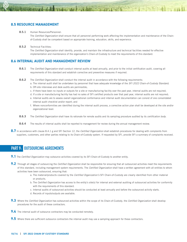#### **8.5 RESOURCE MANAGEMENT**

#### 8.5.1 Human Resources/Personnel:

The Certified Organization shall ensure that all personnel performing work affecting the implementation and maintenance of the Chainof-Custody shall be competent based on appropriate training, education, skills, and experience.

Article of the first the total to all

#### 8.5.2 Technical Facilities:

The Certified Organization shall identify, provide, and maintain the infrastructure and technical facilities needed for effective implementation and maintenance of the organization's Chain-of-Custody to meet the requirements of this standard.

#### **8.6 INTERNAL AUDIT AND MANAGEMENT REVIEW**

- 8.6.1 The Certified Organization shall conduct internal audits at least annually, and prior to the initial certification audit, covering all requirements of this standard and establish corrective and preventive measures if required.
- 8.6.2 The Certified Organization shall conduct the internal audit in accordance with the following requirements:
	- a. The internal audit shall be undertaken by personnel that have adequate knowledge of the *SFI 2022 Chain-of-Custody Standard*; b. Off-site interviews and desk audits are permissible;
	- c. If there have been no inputs or outputs for a site or manufacturing facility over the past year, internal audits are not required;
	- d. If a site or manufacturing facility has had no sales of SFI certified products over that past year, internal audits are not required;
	- e. Internal audits are to assess overall organizational conformance and internal audit documentation can consist of one consolidated internal audit checklist and/or report; and
	- f. Where nonconformities are identified during the internal audit process, a corrective action plan shall be developed at the site and/or organizational level.
- 8.6.3 The Certified Organization shall have its rationale for remote audits and its sampling procedure audited by its certification body.
- 8.6.4 The results of internal audits shall be reported to management for review during the annual management review.
- 8.7 In accordance with clause 8.4.1 g and SFI Section 12, the Certified Organization shall establish procedures for dealing with complaints from suppliers, customers, and other parties relating to its Chain-of-Custody system. If requested by SFI, provide SFI a summary of complaints received.

## **PART 9: OUTSOURCING AGREEMENTS**

- **9.1** The *Certified Organization* may outsource activities covered by its SFI Chain-of-Custody to another entity.
- **9.2** Through all stages of outsourcing the Certified Organization shall be responsible for ensuring that all outsourced activities meet the requirements of this standard, including management system requirements. The Certified Organization shall have a written agreement with all entities to whom activities have been outsourced, ensuring that:
	- a. The material/products covered by the Certified Organization's SFI Chain-of-Custody are clearly identified from other material or products.
	- b. The Certified Organization has access to the entity's site(s) for internal and external auditing of outsourced activities for conformity with the requirements of this standard.
	- c. Internal audits of outsourced activities should be conducted at least annually and before the outsourced activity starts.
	- d. Records of inputs/outputs are available.
- **9.3** Where the Certified Organization has outsourced activities within the scope of its Chain-of-Custody, the Certified Organization shall develop procedures for the audit of these contractors.
- **9.4** The internal audit of outsource contractors may be conducted remotely.
- **9.5** Where there are sufficient outsource contractors the internal audit may use a sampling approach for these contractors.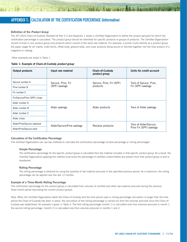## **APPENDIX 1: CALCULATION OF THE CERTIFICATION PERCENTAGE (Informative)**

#### Definition of the *Product Group*

The *SFI 2022 Chain-of-Custody Standard* at Part 3.2 and Appendix 1 allows a Certified Organization to define the *product group(s)* for which the certification percentage is calculated. The *product group* should be identified for specific products or groups of products. The Certified Organization should include in one *product group* only products which consist of the same raw material. For example, a printer could identify as a *product group* the paper usage for all inserts, order-forms, offset body, gravure body, and cover products being bound or stitched together into the final product of a magazine or catalog.

Other examples are listed in Table 1.

#### Table 1: Example of Chain-of-Custody *product group*

| <b>Output products</b>      | Input raw material        | <b>Chain-of-Custody</b><br>product group | Units for credit account                   |  |
|-----------------------------|---------------------------|------------------------------------------|--------------------------------------------|--|
| Spruce lumber A             | Spruce, Pine, Fir         | Spruce, Pine, Fir (SPF)<br>products      | Tons of Spruce, Pine,<br>Fir (SPF) sawlogs |  |
| Pine lumber B               | (SPF) sawlogs             |                                          |                                            |  |
| Fir lumber C                |                           |                                          |                                            |  |
| Fir/Spruce/Pine (SPF) chips |                           |                                          |                                            |  |
| Alder lumber A              |                           |                                          | Tons of Alder sawlogs                      |  |
| Alder lumber B              | Alder sawlogs             | Alder products                           |                                            |  |
| Alder lumber C              |                           |                                          |                                            |  |
| Alder chips                 |                           |                                          |                                            |  |
| Alder/Pine/Spruce sawdust   | Alder/Spruce/Pine sawlogs |                                          | Tons of Alder/Spruce,                      |  |
| Alder/Pine/Spruce bark      |                           | Residue products                         | Pine Fir (SPF) sawlogs                     |  |

#### Calculation of the Certification Percentage

The Certified Organization can use two methods to calculate the certification percentage (simple percentage or rolling percentage):

#### Simple Percentage

The certification percentage for the specific *product group* is calculated from the material included in that specific *product group.* As a result, the Certified Organization applying this method must know the percentage of certified content before any product from that *product group* is sold or transferred.

#### Rolling Percentage

The rolling percentage is obtained by using the quantity of raw material procured in the specified previous period. As a maximum, the rolling percentage can be applied over the last 12 months.

#### Example of a Three-Month Rolling Percentage

The certification percentage for the *product group* is calculated from volumes of certified and other raw material procured during the previous three-month period (excluding the current *product group*).

Note: When the Certified Organization starts the Chain-of-Custody and the time period used in rolling percentage calculation is longer than the time period the Chain-of-Custody has been in place, the calculation of the rolling percentage is carried out from the volumes procured since the Chain-of-Custody was established. An example is given in Table 2: The first rolling percentage (month 1) is calculated only from volumes procured in month 1, the second rolling percentage (month 2) is calculated only from volumes procured in months 1 and 2.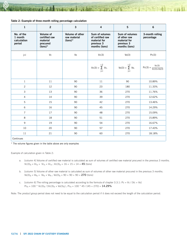| Table 2: Example of three-month rolling percentage calculation |
|----------------------------------------------------------------|
|----------------------------------------------------------------|

| $\mathbf{1}$                                   | $\overline{2}$                                                  | $\mathbf{3}$                                 | 4                                                                                 | $5\phantom{.0}$                                                               | 6                                   |
|------------------------------------------------|-----------------------------------------------------------------|----------------------------------------------|-----------------------------------------------------------------------------------|-------------------------------------------------------------------------------|-------------------------------------|
| No. of the<br>1 month<br>calculation<br>period | Volume of<br>certified raw<br>material<br>procured<br>$(hons)*$ | Volume of other<br>raw material<br>$(tons)*$ | Sum of volumes<br>of certified raw<br>material for<br>previous 3<br>months (tons) | Sum of volumes<br>of other raw<br>material for<br>previous 3<br>months (tons) | 3-month rolling<br>percentage       |
| $j = i$                                        | Vc                                                              | Vo                                           | Vc(3)                                                                             | Vo(3)                                                                         | Pc(3)                               |
|                                                |                                                                 |                                              | $Vc(3) = \sum_{j=i}^{i-2} Vc_i$                                                   | $\bigvee$ Vo(3) = $\sum_{j=i}^{i-2}$ Vo <sub>i</sub>                          | $Pc(3) = \frac{Vc(3)}{Vc(3)+Vo(3)}$ |
| $\mathbf{1}$                                   | 11                                                              | 90                                           | 11                                                                                | 90                                                                            | 10.89%                              |
| $\overline{c}$                                 | 12                                                              | 90                                           | 23                                                                                | 180                                                                           | 11.33%                              |
| 3                                              | 13                                                              | 90                                           | 36                                                                                | 270                                                                           | 11.76%                              |
| 4                                              | 14                                                              | 90                                           | 39                                                                                | 270                                                                           | 12.62%                              |
| 5                                              | 15                                                              | 90                                           | 42                                                                                | 270                                                                           | 13.46%                              |
| 6                                              | 16                                                              | 90                                           | 45                                                                                | 270                                                                           | 14.29%                              |
| $\overline{7}$                                 | 17                                                              | 90                                           | 48                                                                                | 270                                                                           | 15.09%                              |
| 8                                              | 18                                                              | 90                                           | 51                                                                                | 270                                                                           | 15.89%                              |
| 9                                              | 19                                                              | 90                                           | 54                                                                                | 270                                                                           | 16.67%                              |
| 10                                             | 20                                                              | 90                                           | 57                                                                                | 270                                                                           | 17.43%                              |
| 11                                             | 21                                                              | 90                                           | 60                                                                                | 270                                                                           | 18.18%                              |
| Continues                                      |                                                                 |                                              |                                                                                   |                                                                               |                                     |

\* The volume figures given in the table above are only examples

Example of calculation given in Table 2:

- a. [column 4] Volume of certified raw material is calculated as sum of volumes of certified raw material procured in the previous 3 months.  $VC(3)_6 = VC_6 + VC_5 + VC_4$ ;  $VC(3)_6 = 16 + 15 + 14 = 45$  [tons]
- b. [column 5] Volume of other raw material is calculated as sum of volumes of other raw material procured in the previous 3 months.  $\text{Vo}(3)_6 = \text{Vo}_6 + \text{ Vo}_5 + \text{Vo}_4$ ;  $\text{Vo}(3)_6 = 90 + 90 + 90 = 270$  [tons]
- c. [column 6] The rolling percentage is calculated according to the formula of chapter 3.3.1: Pc = Vc / [Vc + Vo]  $PC_6 = 100 * VC(3)_6 / [Vc(3)_6 + Vo(3)_6]$ ;  $PC_6 = 100 * 45 / [45 + 270] = 14.29\%$

Note: The *product group* period does not need to be equal to the calculation period if it does not exceed the length of the calculation period.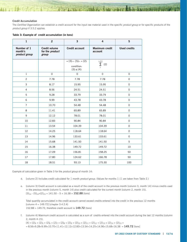#### Credit Accumulation

The Certified Organization can establish a credit account for the input raw material used in the specific *product group* or for specific products of the *product group* if 3.5.2 applies.

| $\mathbf{1}$                            | $\overline{2}$                                   | 3                                                                          | $\overline{\mathbf{4}}$    | 5                   |
|-----------------------------------------|--------------------------------------------------|----------------------------------------------------------------------------|----------------------------|---------------------|
| Number of 1<br>month's<br>product group | <b>Credit volume</b><br>for the product<br>group | <b>Credit account</b>                                                      | Maximum credit<br>account  | <b>Used credits</b> |
|                                         |                                                  | $=[3]_{i-1}$ - [5] $_{i-1}$ + [2] $_i$<br>condition:<br>$[3]_i \leq [4]_i$ | $i-11$<br>Σ<br>$[2]$<br>Ť. |                     |
| $\mathbf{1}$                            | $\mathbf 0$                                      | $\mathbf 0$                                                                | $\Omega$                   | $\Omega$            |
| $\overline{c}$                          | 7.78                                             | 7.78                                                                       | 7.78                       | $\mathbf 0$         |
| 3                                       | 8.17                                             | 15.95                                                                      | 15.95                      | $\mathbf 0$         |
| $\overline{4}$                          | 8.56                                             | 24.51                                                                      | 24.51                      | $\overline{0}$      |
| 5                                       | 9.28                                             | 33.79                                                                      | 33.79                      | $\mathsf{O}\xspace$ |
| 6                                       | 9.99                                             | 43.78                                                                      | 43.78                      | $\mathbf 0$         |
| $\overline{7}$                          | 10.70                                            | 54.48                                                                      | 54.48                      | $\mathbf 0$         |
| 8                                       | 11.41                                            | 65.89                                                                      | 65.89                      | $\mathbf{0}$        |
| 9                                       | 12.12                                            | 78.01                                                                      | 78.01                      | $\mathbf 0$         |
| 10                                      | 12.83                                            | 90.84                                                                      | 90.84                      | $\mathbf 0$         |
| 11                                      | 13.54                                            | 104.39                                                                     | 104.39                     | $\Omega$            |
| 12                                      | 14.25                                            | 118.64                                                                     | 118.64                     | $\mathbf{0}$        |
| 13                                      | 14.96                                            | 133.61                                                                     | 133.61                     | $\mathbf 0$         |
| 14                                      | 15.68                                            | 141.50                                                                     | 141.50                     | 5                   |
| 15                                      | 16.38                                            | 149.72                                                                     | 149.72                     | 10                  |
| 16                                      | 17.09                                            | 156.81                                                                     | 158.25                     | 50                  |
| 17                                      | 17.80                                            | 124.62                                                                     | 166.78                     | 50                  |
| 18                                      | 18.51                                            | 93.13                                                                      | 175.30                     | 100                 |

#### Table 3: Example of credit accumulation (in tons)

Example of calculation given in Table 3 for the *product group* of month 14:

- d. [column 2] Includes credit calculated for 1 month *product group.* (Values for months 1-11 are taken from Table 2.)
- e. [column 3] Credit account is calculated as a result of the credit account in the previous month [column 3, month 14] minus credits used in the previous month [column 5, month 14] plus credit calculated for the current month [column 2, month 15].  $[3]_{14}$  -  $[5]_{14}$ + $[2]_{15}$  = 141.50 – 5 + 16.38 = **152.88** [tons]

Total quantity accumulated in the credit account cannot exceed credits entered into the credit in the previous 12 months [column 4 = 149.72] (chapter 3.4.2.4)  $152.88 > 149.72$ , therefore credit account is  $149.72$  [tons]

f. [column 4] Maximum credit account is calculated as a sum of credits entered into the credit account during the last 12 months [column 2, month 4-15].

 $\lbrack 4 \rbrack = \lbrack 2 \rbrack_4 + \lbrack 2 \rbrack_5 + \lbrack 2 \rbrack_7 + \lbrack 2 \rbrack_8 + \lbrack 2 \rbrack_9 + \lbrack 2 \rbrack_{10} + \lbrack 2 \rbrack_{11} + \lbrack 2 \rbrack_{12} + \lbrack 2 \rbrack_{13} + \lbrack 2 \rbrack_{14} + \lbrack 2 \rbrack_{15} =$  $= 8.56 + 9.28 + 9.99 + 10.70 + 11.41 + 12.12 + 12.83 + 13.54 + 14.25 + 14.96 + 15.68 + 16.38 = 149.72$  [tons]